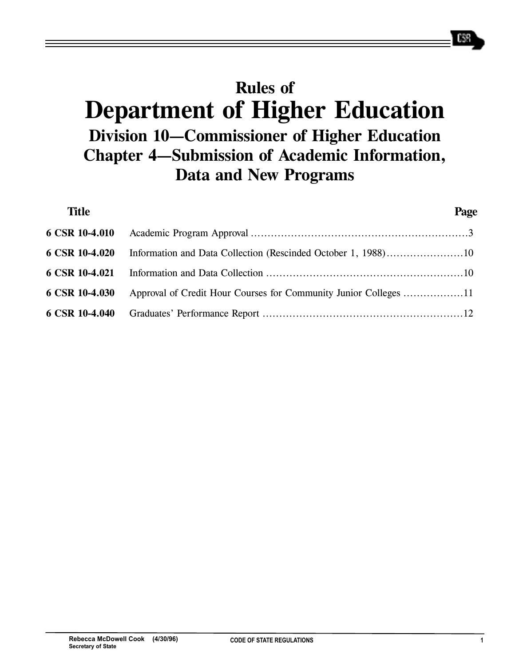# **Rules of Department of Higher Education Division 10—Commissioner of Higher Education Chapter 4—Submission of Academic Information, Data and New Programs**

| <b>Title</b>   | Page |
|----------------|------|
| 6 CSR 10-4.010 |      |
| 6 CSR 10-4.020 |      |
| 6 CSR 10-4.021 |      |
| 6 CSR 10-4.030 |      |
| 6 CSR 10-4.040 |      |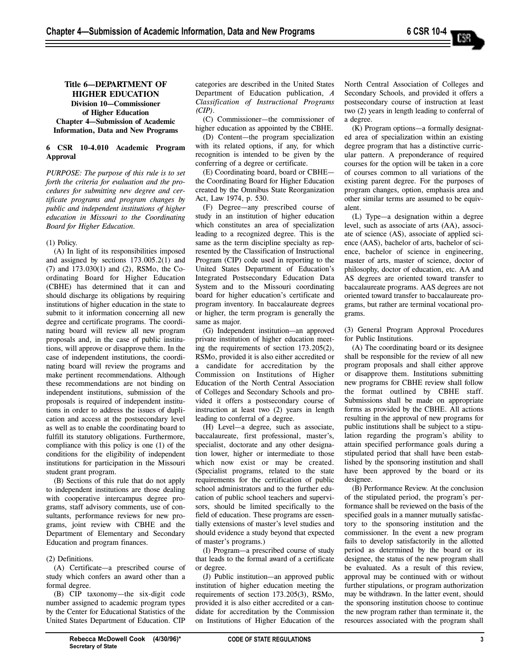# **Title 6—DEPARTMENT OF HIGHER EDUCATION Division 10—Commissioner of Higher Education Chapter 4—Submission of Academic Information, Data and New Programs**

## **6 CSR 10-4.010 Academic Program Approval**

*PURPOSE: The purpose of this rule is to set forth the criteria for evaluation and the procedures for submitting new degree and certificate programs and program changes by public and independent institutions of higher education in Missouri to the Coordinating Board for Higher Education.* 

## (1) Policy.

(A) In light of its responsibilities imposed and assigned by sections 173.005.2(1) and (7) and 173.030(1) and (2), RSMo, the Coordinating Board for Higher Education (CBHE) has determined that it can and should discharge its obligations by requiring institutions of higher education in the state to submit to it information concerning all new degree and certificate programs. The coordinating board will review all new program proposals and, in the case of public institutions, will approve or disapprove them. In the case of independent institutions, the coordinating board will review the programs and make pertinent recommendations. Although these recommendations are not binding on independent institutions, submission of the proposals is required of independent institutions in order to address the issues of duplication and access at the postsecondary level as well as to enable the coordinating board to fulfill its statutory obligations. Furthermore, compliance with this policy is one (1) of the conditions for the eligibility of independent institutions for participation in the Missouri student grant program.

(B) Sections of this rule that do not apply to independent institutions are those dealing with cooperative intercampus degree programs, staff advisory comments, use of consultants, performance reviews for new programs, joint review with CBHE and the Department of Elementary and Secondary Education and program finances.

# (2) Definitions.

(A) Certificate—a prescribed course of study which confers an award other than a formal degree.

(B) CIP taxonomy—the six-digit code number assigned to academic program types by the Center for Educational Statistics of the United States Department of Education. CIP

categories are described in the United States Department of Education publication, *A Classification of Instructional Programs (CIP)*.

(C) Commissioner—the commissioner of higher education as appointed by the CBHE.

(D) Content—the program specialization with its related options, if any, for which recognition is intended to be given by the conferring of a degree or certificate.

(E) Coordinating board, board or CBHE the Coordinating Board for Higher Education created by the Omnibus State Reorganization Act, Law 1974, p. 530.

(F) Degree—any prescribed course of study in an institution of higher education which constitutes an area of specialization leading to a recognized degree. This is the same as the term discipline specialty as represented by the Classification of Instructional Program (CIP) code used in reporting to the United States Department of Education's Integrated Postsecondary Education Data System and to the Missouri coordinating board for higher education's certificate and program inventory. In baccalaureate degrees or higher, the term program is generally the same as major.

(G) Independent institution—an approved private institution of higher education meeting the requirements of section 173.205(2), RSMo, provided it is also either accredited or a candidate for accreditation by the Commission on Institutions of Higher Education of the North Central Association of Colleges and Secondary Schools and provided it offers a postsecondary course of instruction at least two (2) years in length leading to conferral of a degree.

(H) Level—a degree, such as associate, baccalaureate, first professional, master's, specialist, doctorate and any other designation lower, higher or intermediate to those which now exist or may be created. (Specialist programs, related to the state requirements for the certification of public school administrators and to the further education of public school teachers and supervisors, should be limited specifically to the field of education. These programs are essentially extensions of master's level studies and should evidence a study beyond that expected of master's programs.)

(I) Program—a prescribed course of study that leads to the formal award of a certificate or degree.

(J) Public institution—an approved public institution of higher education meeting the requirements of section 173.205(3), RSMo, provided it is also either accredited or a candidate for accreditation by the Commission on Institutions of Higher Education of the North Central Association of Colleges and Secondary Schools, and provided it offers a postsecondary course of instruction at least two (2) years in length leading to conferral of a degree.

(K) Program options—a formally designated area of specialization within an existing degree program that has a distinctive curricular pattern. A preponderance of required courses for the option will be taken in a core of courses common to all variations of the existing parent degree. For the purposes of program changes, option, emphasis area and other similar terms are assumed to be equivalent.

(L) Type—a designation within a degree level, such as associate of arts (AA), associate of science (AS), associate of applied science (AAS), bachelor of arts, bachelor of science, bachelor of science in engineering, master of arts, master of science, doctor of philosophy, doctor of education, etc. AA and AS degrees are oriented toward transfer to baccalaureate programs. AAS degrees are not oriented toward transfer to baccalaureate programs, but rather are terminal vocational programs.

(3) General Program Approval Procedures for Public Institutions.

(A) The coordinating board or its designee shall be responsible for the review of all new program proposals and shall either approve or disapprove them. Institutions submitting new programs for CBHE review shall follow the format outlined by CBHE staff. Submissions shall be made on appropriate forms as provided by the CBHE. All actions resulting in the approval of new programs for public institutions shall be subject to a stipulation regarding the program's ability to attain specified performance goals during a stipulated period that shall have been established by the sponsoring institution and shall have been approved by the board or its designee.

(B) Performance Review. At the conclusion of the stipulated period, the program's performance shall be reviewed on the basis of the specified goals in a manner mutually satisfactory to the sponsoring institution and the commissioner. In the event a new program fails to develop satisfactorily in the allotted period as determined by the board or its designee, the status of the new program shall be evaluated. As a result of this review, approval may be continued with or without further stipulations, or program authorization may be withdrawn. In the latter event, should the sponsoring institution choose to continue the new program rather than terminate it, the resources associated with the program shall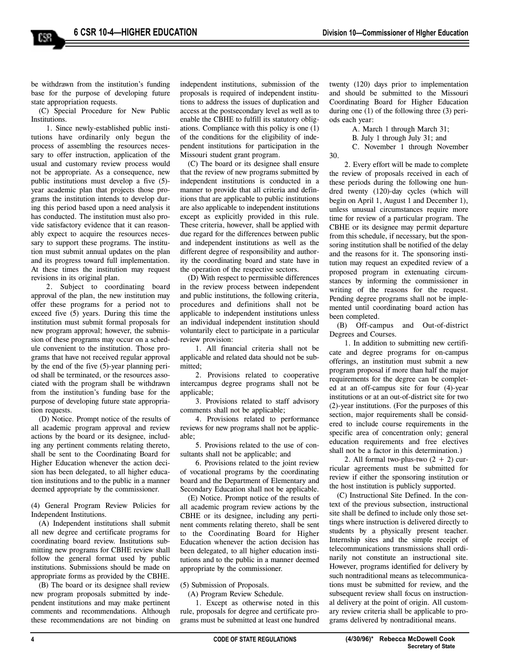be withdrawn from the institution's funding base for the purpose of developing future state appropriation requests.

(C) Special Procedure for New Public Institutions.

1. Since newly-established public institutions have ordinarily only begun the process of assembling the resources necessary to offer instruction, application of the usual and customary review process would not be appropriate. As a consequence, new public institutions must develop a five (5) year academic plan that projects those programs the institution intends to develop during this period based upon a need analysis it has conducted. The institution must also provide satisfactory evidence that it can reasonably expect to acquire the resources necessary to support these programs. The institution must submit annual updates on the plan and its progress toward full implementation. At these times the institution may request revisions in its original plan.

2. Subject to coordinating board approval of the plan, the new institution may offer these programs for a period not to exceed five (5) years. During this time the institution must submit formal proposals for new program approval; however, the submission of these programs may occur on a schedule convenient to the institution. Those programs that have not received regular approval by the end of the five (5)-year planning period shall be terminated, or the resources associated with the program shall be withdrawn from the institution's funding base for the purpose of developing future state appropriation requests.

(D) Notice. Prompt notice of the results of all academic program approval and review actions by the board or its designee, including any pertinent comments relating thereto, shall be sent to the Coordinating Board for Higher Education whenever the action decision has been delegated, to all higher education institutions and to the public in a manner deemed appropriate by the commissioner.

(4) General Program Review Policies for Independent Institutions.

(A) Independent institutions shall submit all new degree and certificate programs for coordinating board review. Institutions submitting new programs for CBHE review shall follow the general format used by public institutions. Submissions should be made on appropriate forms as provided by the CBHE.

(B) The board or its designee shall review new program proposals submitted by independent institutions and may make pertinent comments and recommendations. Although these recommendations are not binding on

independent institutions, submission of the proposals is required of independent institutions to address the issues of duplication and access at the postsecondary level as well as to enable the CBHE to fulfill its statutory obligations. Compliance with this policy is one (1) of the conditions for the eligibility of independent institutions for participation in the Missouri student grant program.

(C) The board or its designee shall ensure that the review of new programs submitted by independent institutions is conducted in a manner to provide that all criteria and definitions that are applicable to public institutions are also applicable to independent institutions except as explicitly provided in this rule. These criteria, however, shall be applied with due regard for the differences between public and independent institutions as well as the different degree of responsibility and authority the coordinating board and state have in the operation of the respective sectors.

(D) With respect to permissible differences in the review process between independent and public institutions, the following criteria, procedures and definitions shall not be applicable to independent institutions unless an individual independent institution should voluntarily elect to participate in a particular review provision:

1. All financial criteria shall not be applicable and related data should not be submitted;

2. Provisions related to cooperative intercampus degree programs shall not be applicable;

3. Provisions related to staff advisory comments shall not be applicable;

4. Provisions related to performance reviews for new programs shall not be applicable;

5. Provisions related to the use of consultants shall not be applicable; and

6. Provisions related to the joint review of vocational programs by the coordinating board and the Department of Elementary and Secondary Education shall not be applicable.

(E) Notice. Prompt notice of the results of all academic program review actions by the CBHE or its designee, including any pertinent comments relating thereto, shall be sent to the Coordinating Board for Higher Education whenever the action decision has been delegated, to all higher education institutions and to the public in a manner deemed appropriate by the commissioner.

(5) Submission of Proposals.

(A) Program Review Schedule.

1. Except as otherwise noted in this rule, proposals for degree and certificate programs must be submitted at least one hundred twenty (120) days prior to implementation and should be submitted to the Missouri Coordinating Board for Higher Education during one (1) of the following three (3) periods each year:

A. March 1 through March 31;

B. July 1 through July 31; and

30.

C. November 1 through November

2. Every effort will be made to complete the review of proposals received in each of these periods during the following one hundred twenty (120)-day cycles (which will begin on April 1, August 1 and December 1), unless unusual circumstances require more time for review of a particular program. The CBHE or its designee may permit departure from this schedule, if necessary, but the sponsoring institution shall be notified of the delay and the reasons for it. The sponsoring institution may request an expedited review of a proposed program in extenuating circumstances by informing the commissioner in writing of the reasons for the request. Pending degree programs shall not be implemented until coordinating board action has been completed.

(B) Off-campus and Out-of-district Degrees and Courses.

1. In addition to submitting new certificate and degree programs for on-campus offerings, an institution must submit a new program proposal if more than half the major requirements for the degree can be completed at an off-campus site for four (4)-year institutions or at an out-of-district site for two (2)-year institutions. (For the purposes of this section, major requirements shall be considered to include course requirements in the specific area of concentration only; general education requirements and free electives shall not be a factor in this determination.)

2. All formal two-plus-two  $(2 + 2)$  curricular agreements must be submitted for review if either the sponsoring institution or the host institution is publicly supported.

(C) Instructional Site Defined. In the context of the previous subsection, instructional site shall be defined to include only those settings where instruction is delivered directly to students by a physically present teacher. Internship sites and the simple receipt of telecommunications transmissions shall ordinarily not constitute an instructional site. However, programs identified for delivery by such nontraditional means as telecommunications must be submitted for review, and the subsequent review shall focus on instructional delivery at the point of origin. All customary review criteria shall be applicable to programs delivered by nontraditional means.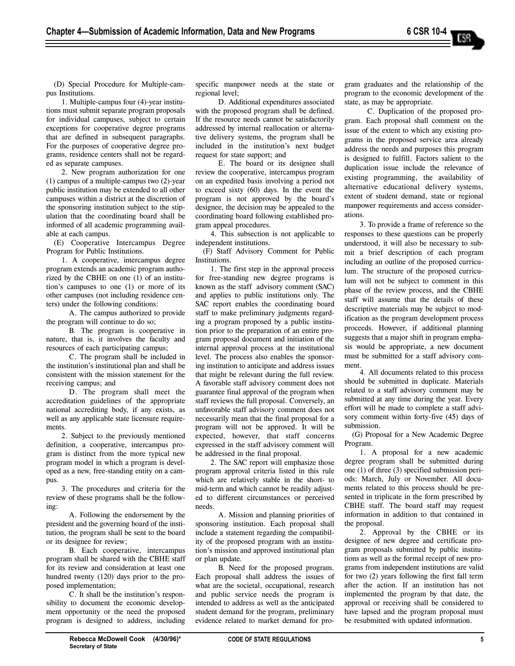(D) Special Procedure for Multiple-campus Institutions.

1. Multiple-campus four (4)-year institutions must submit separate program proposals for individual campuses, subject to certain exceptions for cooperative degree programs that are defined in subsequent paragraphs. For the purposes of cooperative degree programs, residence centers shall not be regarded as separate campuses.

2. New program authorization for one (1) campus of a multiple-campus two (2)-year public institution may be extended to all other campuses within a district at the discretion of the sponsoring institution subject to the stipulation that the coordinating board shall be informed of all academic programming available at each campus.

(E) Cooperative Intercampus Degree Program for Public Institutions.

1. A cooperative, intercampus degree program extends an academic program authorized by the CBHE on one (1) of an institution's campuses to one (1) or more of its other campuses (not including residence centers) under the following conditions:

A. The campus authorized to provide the program will continue to do so;

B. The program is cooperative in nature, that is, it involves the faculty and resources of each participating campus;

C. The program shall be included in the institution's institutional plan and shall be consistent with the mission statement for the receiving campus; and

D. The program shall meet the accreditation guidelines of the appropriate national accrediting body, if any exists, as well as any applicable state licensure requirements.

2. Subject to the previously mentioned definition, a cooperative, intercampus program is distinct from the more typical new program model in which a program is developed as a new, free-standing entity on a campus.

3. The procedures and criteria for the review of these programs shall be the following:

A. Following the endorsement by the president and the governing board of the institution, the program shall be sent to the board or its designee for review;

B. Each cooperative, intercampus program shall be shared with the CBHE staff for its review and consideration at least one hundred twenty (120) days prior to the proposed implementation;

C. It shall be the institution's responsibility to document the economic development opportunity or the need the proposed program is designed to address, including specific manpower needs at the state or regional level;

D. Additional expenditures associated with the proposed program shall be defined. If the resource needs cannot be satisfactorily addressed by internal reallocation or alternative delivery systems, the program shall be included in the institution's next budget request for state support; and

E. The board or its designee shall review the cooperative, intercampus program on an expedited basis involving a period not to exceed sixty (60) days. In the event the program is not approved by the board's designee, the decision may be appealed to the coordinating board following established program appeal procedures.

4. This subsection is not applicable to independent institutions.

(F) Staff Advisory Comment for Public Institutions.

1. The first step in the approval process for free-standing new degree programs is known as the staff advisory comment (SAC) and applies to public institutions only. The SAC report enables the coordinating board staff to make preliminary judgments regarding a program proposed by a public institution prior to the preparation of an entire program proposal document and initiation of the internal approval process at the institutional level. The process also enables the sponsoring institution to anticipate and address issues that might be relevant during the full review. A favorable staff advisory comment does not guarantee final approval of the program when staff reviews the full proposal. Conversely, an unfavorable staff advisory comment does not necessarily mean that the final proposal for a program will not be approved. It will be expected, however, that staff concerns expressed in the staff advisory comment will be addressed in the final proposal.

2. The SAC report will emphasize those program approval criteria listed in this rule which are relatively stable in the short- to mid-term and which cannot be readily adjusted to different circumstances or perceived needs.

A. Mission and planning priorities of sponsoring institution. Each proposal shall include a statement regarding the compatibility of the proposed program with an institution's mission and approved institutional plan or plan update.

B. Need for the proposed program. Each proposal shall address the issues of what are the societal, occupational, research and public service needs the program is intended to address as well as the anticipated student demand for the program, preliminary evidence related to market demand for program graduates and the relationship of the program to the economic development of the state, as may be appropriate.

C. Duplication of the proposed program. Each proposal shall comment on the issue of the extent to which any existing programs in the proposed service area already address the needs and purposes this program is designed to fulfill. Factors salient to the duplication issue include the relevance of existing programming, the availability of alternative educational delivery systems, extent of student demand, state or regional manpower requirements and access considerations.

3. To provide a frame of reference so the responses to these questions can be properly understood, it will also be necessary to submit a brief description of each program including an outline of the proposed curriculum. The structure of the proposed curriculum will not be subject to comment in this phase of the review process, and the CBHE staff will assume that the details of these descriptive materials may be subject to modification as the program development process proceeds. However, if additional planning suggests that a major shift in program emphasis would be appropriate, a new document must be submitted for a staff advisory comment.

4. All documents related to this process should be submitted in duplicate. Materials related to a staff advisory comment may be submitted at any time during the year. Every effort will be made to complete a staff advisory comment within forty-five (45) days of submission.

(G) Proposal for a New Academic Degree Program.

1. A proposal for a new academic degree program shall be submitted during one (1) of three (3) specified submission periods: March, July or November. All documents related to this process should be presented in triplicate in the form prescribed by CBHE staff. The board staff may request information in addition to that contained in the proposal.

2. Approval by the CBHE or its designee of new degree and certificate program proposals submitted by public institutions as well as the formal receipt of new programs from independent institutions are valid for two (2) years following the first fall term after the action. If an institution has not implemented the program by that date, the approval or receiving shall be considered to have lapsed and the program proposal must be resubmitted with updated information.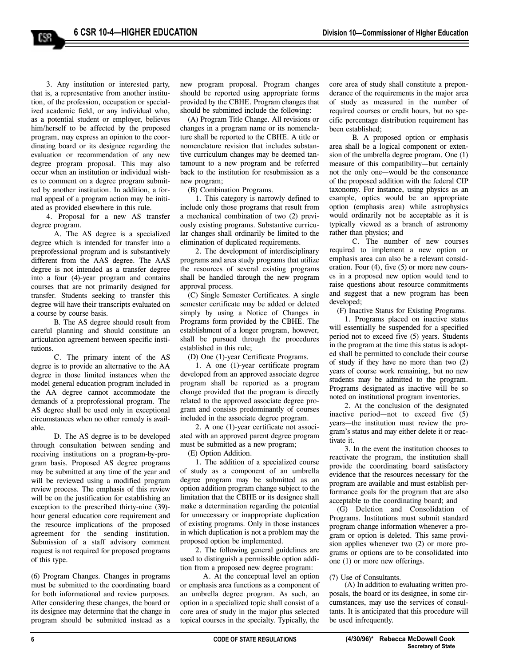3. Any institution or interested party, that is, a representative from another institution, of the profession, occupation or specialized academic field, or any individual who, as a potential student or employer, believes him/herself to be affected by the proposed program, may express an opinion to the coordinating board or its designee regarding the evaluation or recommendation of any new degree program proposal. This may also occur when an institution or individual wishes to comment on a degree program submitted by another institution. In addition, a formal appeal of a program action may be initiated as provided elsewhere in this rule.

4. Proposal for a new AS transfer degree program.

A. The AS degree is a specialized degree which is intended for transfer into a preprofessional program and is substantively different from the AAS degree. The AAS degree is not intended as a transfer degree into a four (4)-year program and contains courses that are not primarily designed for transfer. Students seeking to transfer this degree will have their transcripts evaluated on a course by course basis.

B. The AS degree should result from careful planning and should constitute an articulation agreement between specific institutions.

C. The primary intent of the AS degree is to provide an alternative to the AA degree in those limited instances when the model general education program included in the AA degree cannot accommodate the demands of a preprofessional program. The AS degree shall be used only in exceptional circumstances when no other remedy is available.

D. The AS degree is to be developed through consultation between sending and receiving institutions on a program-by-program basis. Proposed AS degree programs may be submitted at any time of the year and will be reviewed using a modified program review process. The emphasis of this review will be on the justification for establishing an exception to the prescribed thirty-nine (39) hour general education core requirement and the resource implications of the proposed agreement for the sending institution. Submission of a staff advisory comment request is not required for proposed programs of this type.

(6) Program Changes. Changes in programs must be submitted to the coordinating board for both informational and review purposes. After considering these changes, the board or its designee may determine that the change in program should be submitted instead as a

new program proposal. Program changes should be reported using appropriate forms provided by the CBHE. Program changes that should be submitted include the following:

(A) Program Title Change. All revisions or changes in a program name or its nomenclature shall be reported to the CBHE. A title or nomenclature revision that includes substantive curriculum changes may be deemed tantamount to a new program and be referred back to the institution for resubmission as a new program;

(B) Combination Programs.

1. This category is narrowly defined to include only those programs that result from a mechanical combination of two (2) previously existing programs. Substantive curricular changes shall ordinarily be limited to the elimination of duplicated requirements.

2. The development of interdisciplinary programs and area study programs that utilize the resources of several existing programs shall be handled through the new program approval process.

(C) Single Semester Certificates. A single semester certificate may be added or deleted simply by using a Notice of Changes in Programs form provided by the CBHE. The establishment of a longer program, however, shall be pursued through the procedures established in this rule;

(D) One (1)-year Certificate Programs.

1. A one (1)-year certificate program developed from an approved associate degree program shall be reported as a program change provided that the program is directly related to the approved associate degree program and consists predominantly of courses included in the associate degree program.

2. A one (1)-year certificate not associated with an approved parent degree program must be submitted as a new program;

(E) Option Addition.

1. The addition of a specialized course of study as a component of an umbrella degree program may be submitted as an option addition program change subject to the limitation that the CBHE or its designee shall make a determination regarding the potential for unnecessary or inappropriate duplication of existing programs. Only in those instances in which duplication is not a problem may the proposed option be implemented.

2. The following general guidelines are used to distinguish a permissible option addition from a proposed new degree program:

A. At the conceptual level an option or emphasis area functions as a component of an umbrella degree program. As such, an option in a specialized topic shall consist of a core area of study in the major plus selected topical courses in the specialty. Typically, the

core area of study shall constitute a preponderance of the requirements in the major area of study as measured in the number of required courses or credit hours, but no specific percentage distribution requirement has been established;

B. A proposed option or emphasis area shall be a logical component or extension of the umbrella degree program. One (1) measure of this compatibility—but certainly not the only one—would be the consonance of the proposed addition with the federal CIP taxonomy. For instance, using physics as an example, optics would be an appropriate option (emphasis area) while astrophysics would ordinarily not be acceptable as it is typically viewed as a branch of astronomy rather than physics; and

C. The number of new courses required to implement a new option or emphasis area can also be a relevant consideration. Four (4), five (5) or more new courses in a proposed new option would tend to raise questions about resource commitments and suggest that a new program has been developed;

(F) Inactive Status for Existing Programs.

1. Programs placed on inactive status will essentially be suspended for a specified period not to exceed five (5) years. Students in the program at the time this status is adopted shall be permitted to conclude their course of study if they have no more than two (2) years of course work remaining, but no new students may be admitted to the program. Programs designated as inactive will be so noted on institutional program inventories.

2. At the conclusion of the designated inactive period—not to exceed five (5) years—the institution must review the program's status and may either delete it or reactivate it.

3. In the event the institution chooses to reactivate the program, the institution shall provide the coordinating board satisfactory evidence that the resources necessary for the program are available and must establish performance goals for the program that are also acceptable to the coordinating board; and

(G) Deletion and Consolidation of Programs. Institutions must submit standard program change information whenever a program or option is deleted. This same provision applies whenever two (2) or more programs or options are to be consolidated into one (1) or more new offerings.

#### (7) Use of Consultants.

(A) In addition to evaluating written proposals, the board or its designee, in some circumstances, may use the services of consultants. It is anticipated that this procedure will be used infrequently.

158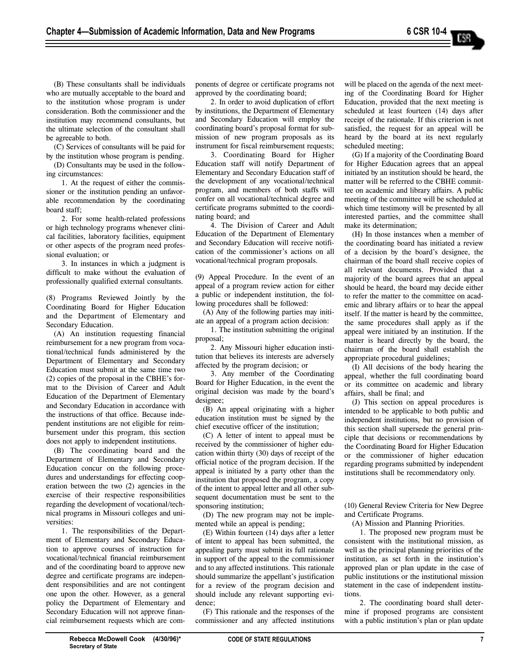(B) These consultants shall be individuals who are mutually acceptable to the board and to the institution whose program is under consideration. Both the commissioner and the institution may recommend consultants, but the ultimate selection of the consultant shall be agreeable to both.

(C) Services of consultants will be paid for by the institution whose program is pending.

(D) Consultants may be used in the following circumstances:

1. At the request of either the commissioner or the institution pending an unfavorable recommendation by the coordinating board staff;

2. For some health-related professions or high technology programs whenever clinical facilities, laboratory facilities, equipment or other aspects of the program need professional evaluation; or

3. In instances in which a judgment is difficult to make without the evaluation of professionally qualified external consultants.

(8) Programs Reviewed Jointly by the Coordinating Board for Higher Education and the Department of Elementary and Secondary Education.

(A) An institution requesting financial reimbursement for a new program from vocational/technical funds administered by the Department of Elementary and Secondary Education must submit at the same time two (2) copies of the proposal in the CBHE's format to the Division of Career and Adult Education of the Department of Elementary and Secondary Education in accordance with the instructions of that office. Because independent institutions are not eligible for reimbursement under this program, this section does not apply to independent institutions.

(B) The coordinating board and the Department of Elementary and Secondary Education concur on the following procedures and understandings for effecting cooperation between the two (2) agencies in the exercise of their respective responsibilities regarding the development of vocational/technical programs in Missouri colleges and universities:

1. The responsibilities of the Department of Elementary and Secondary Education to approve courses of instruction for vocational/technical financial reimbursement and of the coordinating board to approve new degree and certificate programs are independent responsibilities and are not contingent one upon the other. However, as a general policy the Department of Elementary and Secondary Education will not approve financial reimbursement requests which are components of degree or certificate programs not approved by the coordinating board;

2. In order to avoid duplication of effort by institutions, the Department of Elementary and Secondary Education will employ the coordinating board's proposal format for submission of new program proposals as its instrument for fiscal reimbursement requests;

3. Coordinating Board for Higher Education staff will notify Department of Elementary and Secondary Education staff of the development of any vocational/technical program, and members of both staffs will confer on all vocational/technical degree and certificate programs submitted to the coordinating board; and

4. The Division of Career and Adult Education of the Department of Elementary and Secondary Education will receive notification of the commissioner's actions on all vocational/technical program proposals.

(9) Appeal Procedure. In the event of an appeal of a program review action for either a public or independent institution, the following procedures shall be followed:

(A) Any of the following parties may initiate an appeal of a program action decision:

1. The institution submitting the original proposal;

2. Any Missouri higher education institution that believes its interests are adversely affected by the program decision; or

3. Any member of the Coordinating Board for Higher Education, in the event the original decision was made by the board's designee;

(B) An appeal originating with a higher education institution must be signed by the chief executive officer of the institution;

(C) A letter of intent to appeal must be received by the commissioner of higher education within thirty (30) days of receipt of the official notice of the program decision. If the appeal is initiated by a party other than the institution that proposed the program, a copy of the intent to appeal letter and all other subsequent documentation must be sent to the sponsoring institution;

(D) The new program may not be implemented while an appeal is pending;

(E) Within fourteen (14) days after a letter of intent to appeal has been submitted, the appealing party must submit its full rationale in support of the appeal to the commissioner and to any affected institutions. This rationale should summarize the appellant's justification for a review of the program decision and should include any relevant supporting evidence;

(F) This rationale and the responses of the commissioner and any affected institutions

will be placed on the agenda of the next meeting of the Coordinating Board for Higher Education, provided that the next meeting is scheduled at least fourteen (14) days after receipt of the rationale. If this criterion is not satisfied, the request for an appeal will be heard by the board at its next regularly scheduled meeting;

(G) If a majority of the Coordinating Board for Higher Education agrees that an appeal initiated by an institution should be heard, the matter will be referred to the CBHE committee on academic and library affairs. A public meeting of the committee will be scheduled at which time testimony will be presented by all interested parties, and the committee shall make its determination;

(H) In those instances when a member of the coordinating board has initiated a review of a decision by the board's designee, the chairman of the board shall receive copies of all relevant documents. Provided that a majority of the board agrees that an appeal should be heard, the board may decide either to refer the matter to the committee on academic and library affairs or to hear the appeal itself. If the matter is heard by the committee, the same procedures shall apply as if the appeal were initiated by an institution. If the matter is heard directly by the board, the chairman of the board shall establish the appropriate procedural guidelines;

(I) All decisions of the body hearing the appeal, whether the full coordinating board or its committee on academic and library affairs, shall be final; and

(J) This section on appeal procedures is intended to be applicable to both public and independent institutions, but no provision of this section shall supersede the general principle that decisions or recommendations by the Coordinating Board for Higher Education or the commissioner of higher education regarding programs submitted by independent institutions shall be recommendatory only.

(10) General Review Criteria for New Degree and Certificate Programs.

(A) Mission and Planning Priorities.

1. The proposed new program must be consistent with the institutional mission, as well as the principal planning priorities of the institution, as set forth in the institution's approved plan or plan update in the case of public institutions or the institutional mission statement in the case of independent institutions.

2. The coordinating board shall determine if proposed programs are consistent with a public institution's plan or plan update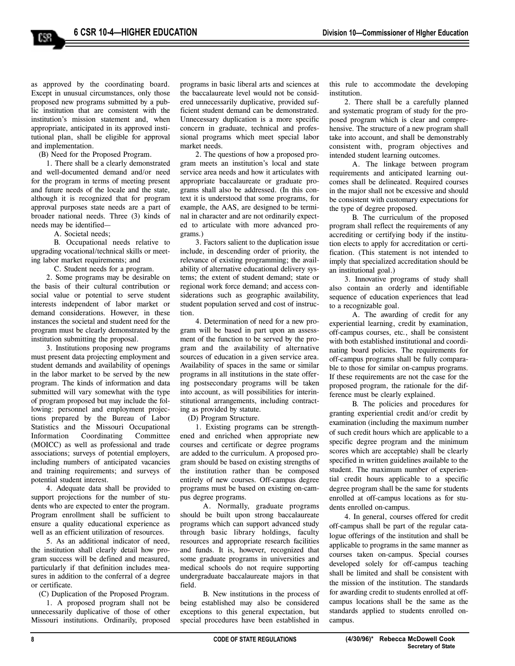as approved by the coordinating board. Except in unusual circumstances, only those proposed new programs submitted by a public institution that are consistent with the institution's mission statement and, when appropriate, anticipated in its approved institutional plan, shall be eligible for approval and implementation.

158

(B) Need for the Proposed Program.

1. There shall be a clearly demonstrated and well-documented demand and/or need for the program in terms of meeting present and future needs of the locale and the state, although it is recognized that for program approval purposes state needs are a part of broader national needs. Three (3) kinds of needs may be identified—

A. Societal needs;

B. Occupational needs relative to upgrading vocational/technical skills or meeting labor market requirements; and

C. Student needs for a program.

2. Some programs may be desirable on the basis of their cultural contribution or social value or potential to serve student interests independent of labor market or demand considerations. However, in these instances the societal and student need for the program must be clearly demonstrated by the institution submitting the proposal.

3. Institutions proposing new programs must present data projecting employment and student demands and availability of openings in the labor market to be served by the new program. The kinds of information and data submitted will vary somewhat with the type of program proposed but may include the following: personnel and employment projections prepared by the Bureau of Labor Statistics and the Missouri Occupational Information Coordinating Committee (MOICC) as well as professional and trade associations; surveys of potential employers, including numbers of anticipated vacancies and training requirements; and surveys of potential student interest.

4. Adequate data shall be provided to support projections for the number of students who are expected to enter the program. Program enrollment shall be sufficient to ensure a quality educational experience as well as an efficient utilization of resources.

5. As an additional indicator of need, the institution shall clearly detail how program success will be defined and measured, particularly if that definition includes measures in addition to the conferral of a degree or certificate.

(C) Duplication of the Proposed Program.

1. A proposed program shall not be unnecessarily duplicative of those of other Missouri institutions. Ordinarily, proposed

programs in basic liberal arts and sciences at the baccalaureate level would not be considered unnecessarily duplicative, provided sufficient student demand can be demonstrated. Unnecessary duplication is a more specific concern in graduate, technical and professional programs which meet special labor market needs.

2. The questions of how a proposed program meets an institution's local and state service area needs and how it articulates with appropriate baccalaureate or graduate programs shall also be addressed. (In this context it is understood that some programs, for example, the AAS, are designed to be terminal in character and are not ordinarily expected to articulate with more advanced programs.)

3. Factors salient to the duplication issue include, in descending order of priority, the relevance of existing programming; the availability of alternative educational delivery systems; the extent of student demand; state or regional work force demand; and access considerations such as geographic availability, student population served and cost of instruction.

4. Determination of need for a new program will be based in part upon an assessment of the function to be served by the program and the availability of alternative sources of education in a given service area. Availability of spaces in the same or similar programs in all institutions in the state offering postsecondary programs will be taken into account, as will possibilities for interinstitutional arrangements, including contracting as provided by statute.

(D) Program Structure.

1. Existing programs can be strengthened and enriched when appropriate new courses and certificate or degree programs are added to the curriculum. A proposed program should be based on existing strengths of the institution rather than be composed entirely of new courses. Off-campus degree programs must be based on existing on-campus degree programs.

A. Normally, graduate programs should be built upon strong baccalaureate programs which can support advanced study through basic library holdings, faculty resources and appropriate research facilities and funds. It is, however, recognized that some graduate programs in universities and medical schools do not require supporting undergraduate baccalaureate majors in that field.

B. New institutions in the process of being established may also be considered exceptions to this general expectation, but special procedures have been established in

this rule to accommodate the developing institution.

2. There shall be a carefully planned and systematic program of study for the proposed program which is clear and comprehensive. The structure of a new program shall take into account, and shall be demonstrably consistent with, program objectives and intended student learning outcomes.

A. The linkage between program requirements and anticipated learning outcomes shall be delineated. Required courses in the major shall not be excessive and should be consistent with customary expectations for the type of degree proposed.

B. The curriculum of the proposed program shall reflect the requirements of any accrediting or certifying body if the institution elects to apply for accreditation or certification. (This statement is not intended to imply that specialized accreditation should be an institutional goal.)

3. Innovative programs of study shall also contain an orderly and identifiable sequence of education experiences that lead to a recognizable goal.

A. The awarding of credit for any experiential learning, credit by examination, off-campus courses, etc., shall be consistent with both established institutional and coordinating board policies. The requirements for off-campus programs shall be fully comparable to those for similar on-campus programs. If these requirements are not the case for the proposed program, the rationale for the difference must be clearly explained.

B. The policies and procedures for granting experiential credit and/or credit by examination (including the maximum number of such credit hours which are applicable to a specific degree program and the minimum scores which are acceptable) shall be clearly specified in written guidelines available to the student. The maximum number of experiential credit hours applicable to a specific degree program shall be the same for students enrolled at off-campus locations as for students enrolled on-campus.

4. In general, courses offered for credit off-campus shall be part of the regular catalogue offerings of the institution and shall be applicable to programs in the same manner as courses taken on-campus. Special courses developed solely for off-campus teaching shall be limited and shall be consistent with the mission of the institution. The standards for awarding credit to students enrolled at offcampus locations shall be the same as the standards applied to students enrolled oncampus.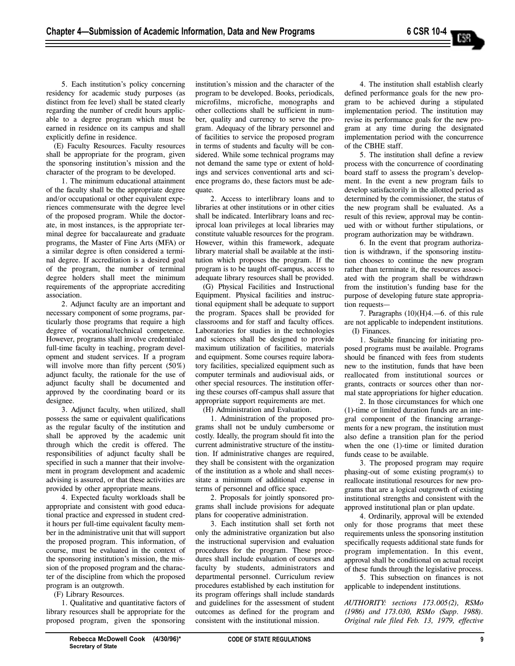5. Each institution's policy concerning residency for academic study purposes (as distinct from fee level) shall be stated clearly regarding the number of credit hours applicable to a degree program which must be earned in residence on its campus and shall explicitly define in residence.

(E) Faculty Resources. Faculty resources shall be appropriate for the program, given the sponsoring institution's mission and the character of the program to be developed.

1. The minimum educational attainment of the faculty shall be the appropriate degree and/or occupational or other equivalent experiences commensurate with the degree level of the proposed program. While the doctorate, in most instances, is the appropriate terminal degree for baccalaureate and graduate programs, the Master of Fine Arts (MFA) or a similar degree is often considered a terminal degree. If accreditation is a desired goal of the program, the number of terminal degree holders shall meet the minimum requirements of the appropriate accrediting association.

2. Adjunct faculty are an important and necessary component of some programs, particularly those programs that require a high degree of vocational/technical competence. However, programs shall involve credentialed full-time faculty in teaching, program development and student services. If a program will involve more than fifty percent  $(50\%)$ adjunct faculty, the rationale for the use of adjunct faculty shall be documented and approved by the coordinating board or its designee.

3. Adjunct faculty, when utilized, shall possess the same or equivalent qualifications as the regular faculty of the institution and shall be approved by the academic unit through which the credit is offered. The responsibilities of adjunct faculty shall be specified in such a manner that their involvement in program development and academic advising is assured, or that these activities are provided by other appropriate means.

4. Expected faculty workloads shall be appropriate and consistent with good educational practice and expressed in student credit hours per full-time equivalent faculty member in the administrative unit that will support the proposed program. This information, of course, must be evaluated in the context of the sponsoring institution's mission, the mission of the proposed program and the character of the discipline from which the proposed program is an outgrowth.

(F) Library Resources.

1. Qualitative and quantitative factors of library resources shall be appropriate for the proposed program, given the sponsoring institution's mission and the character of the program to be developed. Books, periodicals, microfilms, microfiche, monographs and other collections shall be sufficient in number, quality and currency to serve the program. Adequacy of the library personnel and of facilities to service the proposed program in terms of students and faculty will be considered. While some technical programs may not demand the same type or extent of holdings and services conventional arts and science programs do, these factors must be adequate.

2. Access to interlibrary loans and to libraries at other institutions or in other cities shall be indicated. Interlibrary loans and reciprocal loan privileges at local libraries may constitute valuable resources for the program. However, within this framework, adequate library material shall be available at the institution which proposes the program. If the program is to be taught off-campus, access to adequate library resources shall be provided.

(G) Physical Facilities and Instructional Equipment. Physical facilities and instructional equipment shall be adequate to support the program. Spaces shall be provided for classrooms and for staff and faculty offices. Laboratories for studies in the technologies and sciences shall be designed to provide maximum utilization of facilities, materials and equipment. Some courses require laboratory facilities, specialized equipment such as computer terminals and audiovisual aids, or other special resources. The institution offering these courses off-campus shall assure that appropriate support requirements are met.

(H) Administration and Evaluation.

1. Administration of the proposed programs shall not be unduly cumbersome or costly. Ideally, the program should fit into the current administrative structure of the institution. If administrative changes are required, they shall be consistent with the organization of the institution as a whole and shall necessitate a minimum of additional expense in terms of personnel and office space.

2. Proposals for jointly sponsored programs shall include provisions for adequate plans for cooperative administration.

3. Each institution shall set forth not only the administrative organization but also the instructional supervision and evaluation procedures for the program. These procedures shall include evaluation of courses and faculty by students, administrators and departmental personnel. Curriculum review procedures established by each institution for its program offerings shall include standards and guidelines for the assessment of student outcomes as defined for the program and consistent with the institutional mission.

4. The institution shall establish clearly defined performance goals for the new program to be achieved during a stipulated implementation period. The institution may revise its performance goals for the new program at any time during the designated implementation period with the concurrence of the CBHE staff.

5. The institution shall define a review process with the concurrence of coordinating board staff to assess the program's development. In the event a new program fails to develop satisfactorily in the allotted period as determined by the commissioner, the status of the new program shall be evaluated. As a result of this review, approval may be continued with or without further stipulations, or program authorization may be withdrawn.

6. In the event that program authorization is withdrawn, if the sponsoring institution chooses to continue the new program rather than terminate it, the resources associated with the program shall be withdrawn from the institution's funding base for the purpose of developing future state appropriation requests—

7. Paragraphs (10)(H)4.—6. of this rule are not applicable to independent institutions. (I) Finances.

1. Suitable financing for initiating proposed programs must be available. Programs should be financed with fees from students new to the institution, funds that have been reallocated from institutional sources or grants, contracts or sources other than normal state appropriations for higher education.

2. In those circumstances for which one (1)-time or limited duration funds are an integral component of the financing arrangements for a new program, the institution must also define a transition plan for the period when the one (1)-time or limited duration funds cease to be available.

3. The proposed program may require phasing-out of some existing program(s) to reallocate institutional resources for new programs that are a logical outgrowth of existing institutional strengths and consistent with the approved institutional plan or plan update.

4. Ordinarily, approval will be extended only for those programs that meet these requirements unless the sponsoring institution specifically requests additional state funds for program implementation. In this event, approval shall be conditional on actual receipt of these funds through the legislative process.

5. This subsection on finances is not applicable to independent institutions.

*AUTHORITY: sections 173.005(2), RSMo (1986) and 173.030, RSMo (Supp. 1988). Original rule filed Feb. 13, 1979, effective*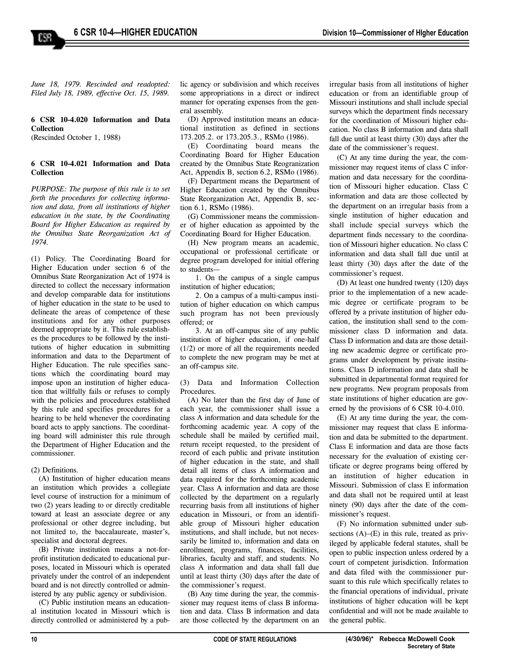*June 18, 1979. Rescinded and readopted: Filed July 18, 1989, effective Oct. 15, 1989.*

#### **6 CSR 10-4.020 Information and Data Collection**

(Rescinded October 1, 1988)

158

#### **6 CSR 10-4.021 Information and Data Collection**

*PURPOSE: The purpose of this rule is to set forth the procedures for collecting information and data, from all institutions of higher education in the state, by the Coordinating Board for Higher Education as required by the Omnibus State Reorganization Act of 1974.* 

(1) Policy. The Coordinating Board for Higher Education under section 6 of the Omnibus State Reorganization Act of 1974 is directed to collect the necessary information and develop comparable data for institutions of higher education in the state to be used to delineate the areas of competence of these institutions and for any other purposes deemed appropriate by it. This rule establishes the procedures to be followed by the institutions of higher education in submitting information and data to the Department of Higher Education. The rule specifies sanctions which the coordinating board may impose upon an institution of higher education that willfully fails or refuses to comply with the policies and procedures established by this rule and specifies procedures for a hearing to be held whenever the coordinating board acts to apply sanctions. The coordinating board will administer this rule through the Department of Higher Education and the commissioner.

#### (2) Definitions.

(A) Institution of higher education means an institution which provides a collegiate level course of instruction for a minimum of two (2) years leading to or directly creditable toward at least an associate degree or any professional or other degree including, but not limited to, the baccalaureate, master's, specialist and doctoral degrees.

(B) Private institution means a not-forprofit institution dedicated to educational purposes, located in Missouri which is operated privately under the control of an independent board and is not directly controlled or administered by any public agency or subdivision.

(C) Public institution means an educational institution located in Missouri which is directly controlled or administered by a public agency or subdivision and which receives some appropriations in a direct or indirect manner for operating expenses from the general assembly.

(D) Approved institution means an educational institution as defined in sections 173.205.2. or 173.205.3., RSMo (1986).

(E) Coordinating board means the Coordinating Board for Higher Education created by the Omnibus State Reogranization Act, Appendix B, section 6.2, RSMo (1986).

(F) Department means the Department of Higher Education created by the Omnibus State Reorganization Act, Appendix B, section 6.1, RSMo (1986).

(G) Commissioner means the commissioner of higher education as appointed by the Coordinating Board for Higher Education.

(H) New program means an academic, occupational or professional certificate or degree program developed for initial offering to students—

1. On the campus of a single campus institution of higher education;

2. On a campus of a multi-campus institution of higher education on which campus such program has not been previously offered; or

3. At an off-campus site of any public institution of higher education, if one-half (1/2) or more of all the requirements needed to complete the new program may be met at an off-campus site.

(3) Data and Information Collection **Procedures** 

(A) No later than the first day of June of each year, the commissioner shall issue a class A information and data schedule for the forthcoming academic year. A copy of the schedule shall be mailed by certified mail, return receipt requested, to the president of record of each public and private institution of higher education in the state, and shall detail all items of class A information and data required for the forthcoming academic year. Class A information and data are those collected by the department on a regularly recurring basis from all institutions of higher education in Missouri, or from an identifiable group of Missouri higher education institutions, and shall include, but not necessarily be limited to, information and data on enrollment, programs, finances, facilities, libraries, faculty and staff, and students. No class A information and data shall fall due until at least thirty (30) days after the date of the commissioner's request.

(B) Any time during the year, the commissioner may request items of class B information and data. Class B information and data are those collected by the department on an

irregular basis from all institutions of higher education or from an identifiable group of Missouri institutions and shall include special surveys which the department finds necessary for the coordination of Missouri higher education. No class B information and data shall fall due until at least thirty (30) days after the date of the commissioner's request.

(C) At any time during the year, the commissioner may request items of class C information and data necessary for the coordination of Missouri higher education. Class C information and data are those collected by the department on an irregular basis from a single institution of higher education and shall include special surveys which the department finds necessary to the coordination of Missouri higher education. No class C information and data shall fall due until at least thirty (30) days after the date of the commissioner's request.

(D) At least one hundred twenty (120) days prior to the implementation of a new academic degree or certificate program to be offered by a private institution of higher education, the institution shall send to the commissioner class D information and data. Class D information and data are those detailing new academic degree or certificate programs under development by private institutions. Class D information and data shall be submitted in departmental format required for new programs. New program proposals from state institutions of higher education are governed by the provisions of 6 CSR 10-4.010.

(E) At any time during the year, the commissioner may request that class E information and data be submitted to the department. Class E information and data are those facts necessary for the evaluation of existing certificate or degree programs being offered by an institution of higher education in Missouri. Submission of class E information and data shall not be required until at least ninety (90) days after the date of the commissioner's request.

(F) No information submitted under subsections  $(A)$ – $(E)$  in this rule, treated as privileged by applicable federal statutes, shall be open to public inspection unless ordered by a court of competent jurisdiction. Information and data filed with the commissioner pursuant to this rule which specifically relates to the financial operations of individual, private institutions of higher education will be kept confidential and will not be made available to the general public.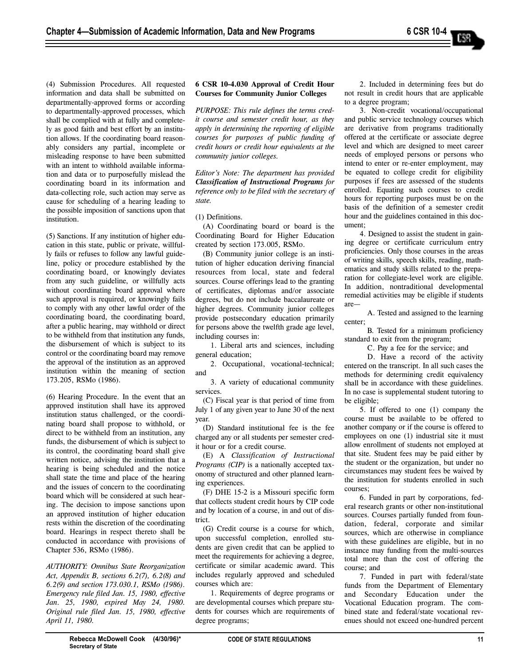(4) Submission Procedures. All requested information and data shall be submitted on departmentally-approved forms or according to departmentally-approved processes, which shall be complied with at fully and completely as good faith and best effort by an institution allows. If the coordinating board reasonably considers any partial, incomplete or misleading response to have been submitted with an intent to withhold available information and data or to purposefully mislead the coordinating board in its information and data-collecting role, such action may serve as cause for scheduling of a hearing leading to the possible imposition of sanctions upon that institution.

(5) Sanctions. If any institution of higher education in this state, public or private, willfully fails or refuses to follow any lawful guideline, policy or procedure established by the coordinating board, or knowingly deviates from any such guideline, or willfully acts without coordinating board approval where such approval is required, or knowingly fails to comply with any other lawful order of the coordinating board, the coordinating board, after a public hearing, may withhold or direct to be withheld from that institution any funds, the disbursement of which is subject to its control or the coordinating board may remove the approval of the institution as an approved institution within the meaning of section 173.205, RSMo (1986).

(6) Hearing Procedure. In the event that an approved institution shall have its approved institution status challenged, or the coordinating board shall propose to withhold, or direct to be withheld from an institution, any funds, the disbursement of which is subject to its control, the coordinating board shall give written notice, advising the institution that a hearing is being scheduled and the notice shall state the time and place of the hearing and the issues of concern to the coordinating board which will be considered at such hearing. The decision to impose sanctions upon an approved institution of higher education rests within the discretion of the coordinating board. Hearings in respect thereto shall be conducted in accordance with provisions of Chapter 536, RSMo (1986).

*AUTHORITY: Omnibus State Reorganization Act, Appendix B, sections 6.2(7), 6.2(8) and 6.2(9) and section 173.030.1, RSMo (1986). Emergency rule filed Jan. 15, 1980, effective Jan. 25, 1980, expired May 24, 1980. Original rule filed Jan. 15, 1980, effective April 11, 1980.*

# **6 CSR 10-4.030 Approval of Credit Hour Courses for Community Junior Colleges**

*PURPOSE: This rule defines the terms credit course and semester credit hour, as they apply in determining the reporting of eligible courses for purposes of public funding of credit hours or credit hour equivalents at the community junior colleges.* 

*Editor's Note: The department has provided Classification of Instructional Programs for reference only to be filed with the secretary of state.*

(1) Definitions.

(A) Coordinating board or board is the Coordinating Board for Higher Education created by section 173.005, RSMo.

(B) Community junior college is an institution of higher education deriving financial resources from local, state and federal sources. Course offerings lead to the granting of certificates, diplomas and/or associate degrees, but do not include baccalaureate or higher degrees. Community junior colleges provide postsecondary education primarily for persons above the twelfth grade age level, including courses in:

1. Liberal arts and sciences, including general education;

2. Occupational, vocational-technical; and

3. A variety of educational community services.

(C) Fiscal year is that period of time from July 1 of any given year to June 30 of the next year.

(D) Standard institutional fee is the fee charged any or all students per semester credit hour or for a credit course.

(E) A *Classification of Instructional Programs (CIP)* is a nationally accepted taxonomy of structured and other planned learning experiences.

(F) DHE 15-2 is a Missouri specific form that collects student credit hours by CIP code and by location of a course, in and out of district.

(G) Credit course is a course for which, upon successful completion, enrolled students are given credit that can be applied to meet the requirements for achieving a degree, certificate or similar academic award. This includes regularly approved and scheduled courses which are:

1. Requirements of degree programs or are developmental courses which prepare students for courses which are requirements of degree programs;

2. Included in determining fees but do not result in credit hours that are applicable to a degree program;

3. Non-credit vocational/occupational and public service technology courses which are derivative from programs traditionally offered at the certificate or associate degree level and which are designed to meet career needs of employed persons or persons who intend to enter or re-enter employment, may be equated to college credit for eligibility purposes if fees are assessed of the students enrolled. Equating such courses to credit hours for reporting purposes must be on the basis of the definition of a semester credit hour and the guidelines contained in this document;

4. Designed to assist the student in gaining degree or certificate curriculum entry proficiencies. Only those courses in the areas of writing skills, speech skills, reading, mathematics and study skills related to the preparation for collegiate-level work are eligible. In addition, nontraditional developmental remedial activities may be eligible if students are—

A. Tested and assigned to the learning center;

B. Tested for a minimum proficiency standard to exit from the program;

C. Pay a fee for the service; and

D. Have a record of the activity entered on the transcript. In all such cases the methods for determining credit equivalency shall be in accordance with these guidelines. In no case is supplemental student tutoring to be eligible;

5. If offered to one (1) company the course must be available to be offered to another company or if the course is offered to employees on one (1) industrial site it must allow enrollment of students not employed at that site. Student fees may be paid either by the student or the organization, but under no circumstances may student fees be waived by the institution for students enrolled in such courses;

6. Funded in part by corporations, federal research grants or other non-institutional sources. Courses partially funded from foundation, federal, corporate and similar sources, which are otherwise in compliance with these guidelines are eligible, but in no instance may funding from the multi-sources total more than the cost of offering the course; and

7. Funded in part with federal/state funds from the Department of Elementary and Secondary Education under the Vocational Education program. The combined state and federal/state vocational revenues should not exceed one-hundred percent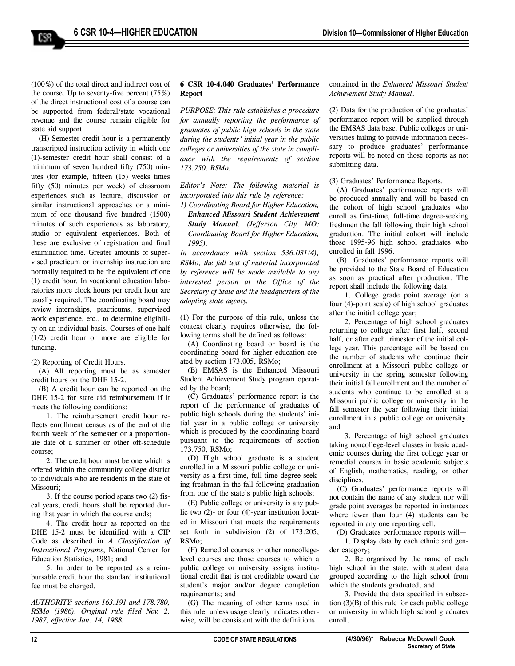(100%) of the total direct and indirect cost of the course. Up to seventy-five percent  $(75%)$ of the direct instructional cost of a course can be supported from federal/state vocational revenue and the course remain eligible for state aid support.

(H) Semester credit hour is a permanently transcripted instruction activity in which one (1)-semester credit hour shall consist of a minimum of seven hundred fifty (750) minutes (for example, fifteen (15) weeks times fifty (50) minutes per week) of classroom experiences such as lecture, discussion or similar instructional approaches or a minimum of one thousand five hundred (1500) minutes of such experiences as laboratory, studio or equivalent experiences. Both of these are exclusive of registration and final examination time. Greater amounts of supervised practicum or internship instruction are normally required to be the equivalent of one (1) credit hour. In vocational education laboratories more clock hours per credit hour are usually required. The coordinating board may review internships, practicums, supervised work experience, etc., to determine eligibility on an individual basis. Courses of one-half (1/2) credit hour or more are eligible for funding.

(2) Reporting of Credit Hours.

(A) All reporting must be as semester credit hours on the DHE 15-2.

(B) A credit hour can be reported on the DHE 15-2 for state aid reimbursement if it meets the following conditions:

1. The reimbursement credit hour reflects enrollment census as of the end of the fourth week of the semester or a proportionate date of a summer or other off-schedule course;

2. The credit hour must be one which is offered within the community college district to individuals who are residents in the state of Missouri;

3. If the course period spans two (2) fiscal years, credit hours shall be reported during that year in which the course ends;

4. The credit hour as reported on the DHE 15-2 must be identified with a CIP Code as described in *A Classification of Instructional Programs*, National Center for Education Statistics, 1981; and

5. In order to be reported as a reimbursable credit hour the standard institutional fee must be charged.

*AUTHORITY: sections 163.191 and 178.780, RSMo (1986). Original rule filed Nov. 2, 1987, effective Jan. 14, 1988.*

# **6 CSR 10-4.040 Graduates' Performance Report**

*PURPOSE: This rule establishes a procedure for annually reporting the performance of graduates of public high schools in the state during the students' initial year in the public colleges or universities of the state in compliance with the requirements of section 173.750, RSMo.*

*Editor's Note: The following material is incorporated into this rule by reference:*

*1) Coordinating Board for Higher Education, Enhanced Missouri Student Achievement Study Manual. (Jefferson City, MO: Coordinating Board for Higher Education, 1995).*

*In accordance with section 536.031(4), RSMo, the full text of material incorporated by reference will be made available to any interested person at the Office of the Secretary of State and the headquarters of the adopting state agency.*

(1) For the purpose of this rule, unless the context clearly requires otherwise, the following terms shall be defined as follows:

(A) Coordinating board or board is the coordinating board for higher education created by section 173.005, RSMo;

(B) EMSAS is the Enhanced Missouri Student Achievement Study program operated by the board;

(C) Graduates' performance report is the report of the performance of graduates of public high schools during the students' initial year in a public college or university which is produced by the coordinating board pursuant to the requirements of section 173.750, RSMo;

(D) High school graduate is a student enrolled in a Missouri public college or university as a first-time, full-time degree-seeking freshman in the fall following graduation from one of the state's public high schools;

(E) Public college or university is any public two (2)- or four (4)-year institution located in Missouri that meets the requirements set forth in subdivision (2) of 173.205, RSMo;

(F) Remedial courses or other noncollegelevel courses are those courses to which a public college or university assigns institutional credit that is not creditable toward the student's major and/or degree completion requirements; and

(G) The meaning of other terms used in this rule, unless usage clearly indicates otherwise, will be consistent with the definitions

contained in the *Enhanced Missouri Student Achievement Study Manual*.

(2) Data for the production of the graduates' performance report will be supplied through the EMSAS data base. Public colleges or universities failing to provide information necessary to produce graduates' performance reports will be noted on those reports as not submitting data.

(3) Graduates' Performance Reports.

(A) Graduates' performance reports will be produced annually and will be based on the cohort of high school graduates who enroll as first-time, full-time degree-seeking freshmen the fall following their high school graduation. The initial cohort will include those 1995-96 high school graduates who enrolled in fall 1996.

(B) Graduates' performance reports will be provided to the State Board of Education as soon as practical after production. The report shall include the following data:

1. College grade point average (on a four (4)-point scale) of high school graduates after the initial college year;

2. Percentage of high school graduates returning to college after first half, second half, or after each trimester of the initial college year. This percentage will be based on the number of students who continue their enrollment at a Missouri public college or university in the spring semester following their initial fall enrollment and the number of students who continue to be enrolled at a Missouri public college or university in the fall semester the year following their initial enrollment in a public college or university; and

3. Percentage of high school graduates taking noncollege-level classes in basic academic courses during the first college year or remedial courses in basic academic subjects of English, mathematics, reading, or other disciplines.

(C) Graduates' performance reports will not contain the name of any student nor will grade point averages be reported in instances where fewer than four (4) students can be reported in any one reporting cell.

(D) Graduates performance reports will— 1. Display data by each ethnic and gender category;

2. Be organized by the name of each high school in the state, with student data grouped according to the high school from which the students graduated; and

3. Provide the data specified in subsection  $(3)(B)$  of this rule for each public college or university in which high school graduates enroll.